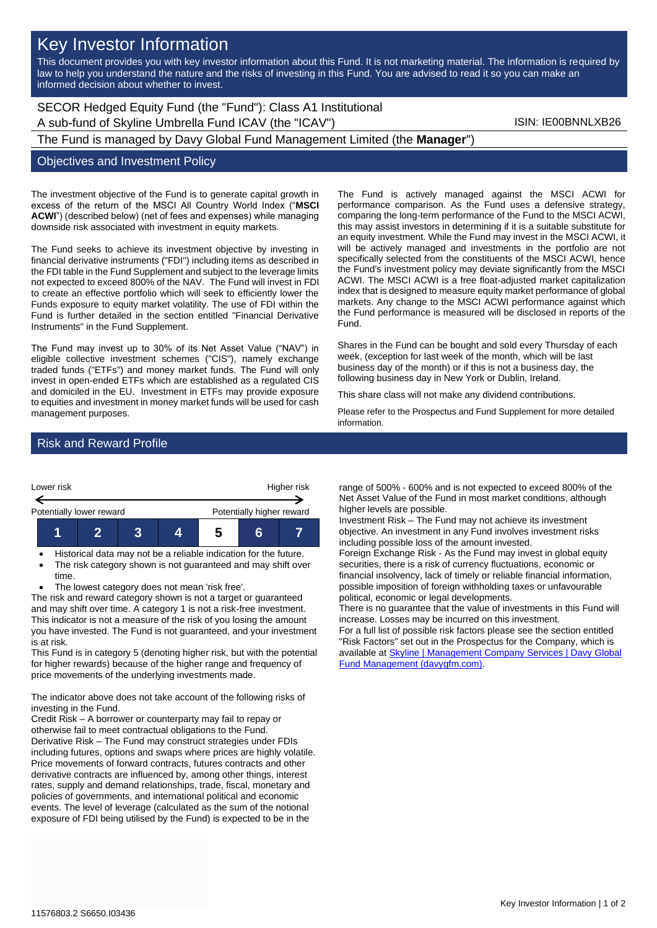# Key Investor Information

This document provides you with key investor information about this Fund. It is not marketing material. The information is required by law to help you understand the nature and the risks of investing in this Fund. You are advised to read it so you can make an informed decision about whether to invest.

## SECOR Hedged Equity Fund (the "Fund"): Class A1 Institutional A sub-fund of Skyline Umbrella Fund ICAV (the "ICAV") ISIN: IE00BNNLXB26

The Fund is managed by Davy Global Fund Management Limited (the **Manager**")

#### Objectives and Investment Policy

The investment objective of the Fund is to generate capital growth in excess of the return of the MSCI All Country World Index ("**MSCI ACWI**") (described below) (net of fees and expenses) while managing downside risk associated with investment in equity markets.

The Fund seeks to achieve its investment objective by investing in financial derivative instruments ("FDI") including items as described in the FDI table in the Fund Supplement and subject to the leverage limits not expected to exceed 800% of the NAV. The Fund will invest in FDI to create an effective portfolio which will seek to efficiently lower the Funds exposure to equity market volatility. The use of FDI within the Fund is further detailed in the section entitled "Financial Derivative Instruments" in the Fund Supplement.

The Fund may invest up to 30% of its Net Asset Value ("NAV") in eligible collective investment schemes ("CIS"), namely exchange traded funds ("ETFs") and money market funds. The Fund will only invest in open-ended ETFs which are established as a regulated CIS and domiciled in the EU. Investment in ETFs may provide exposure to equities and investment in money market funds will be used for cash management purposes.

The Fund is actively managed against the MSCI ACWI for performance comparison. As the Fund uses a defensive strategy, comparing the long-term performance of the Fund to the MSCI ACWI, this may assist investors in determining if it is a suitable substitute for an equity investment. While the Fund may invest in the MSCI ACWI, it will be actively managed and investments in the portfolio are not specifically selected from the constituents of the MSCI ACWI, hence the Fund's investment policy may deviate significantly from the MSCI ACWI. The MSCI ACWI is a free float-adjusted market capitalization index that is designed to measure equity market performance of global markets. Any change to the MSCI ACWI performance against which the Fund performance is measured will be disclosed in reports of the Fund.

Shares in the Fund can be bought and sold every Thursday of each week, (exception for last week of the month, which will be last business day of the month) or if this is not a business day, the following business day in New York or Dublin, Ireland.

This share class will not make any dividend contributions.

Please refer to the Prospectus and Fund Supplement for more detailed information.

## Risk and Reward Profile



- Historical data may not be a reliable indication for the future.
- The risk category shown is not guaranteed and may shift over time.
- The lowest category does not mean 'risk free'.

The risk and reward category shown is not a target or guaranteed and may shift over time. A category 1 is not a risk-free investment. This indicator is not a measure of the risk of you losing the amount you have invested. The Fund is not guaranteed, and your investment is at risk.

This Fund is in category 5 (denoting higher risk, but with the potential for higher rewards) because of the higher range and frequency of price movements of the underlying investments made.

The indicator above does not take account of the following risks of investing in the Fund.

Credit Risk – A borrower or counterparty may fail to repay or otherwise fail to meet contractual obligations to the Fund. Derivative Risk – The Fund may construct strategies under FDIs including futures, options and swaps where prices are highly volatile. Price movements of forward contracts, futures contracts and other derivative contracts are influenced by, among other things, interest rates, supply and demand relationships, trade, fiscal, monetary and policies of governments, and international political and economic events. The level of leverage (calculated as the sum of the notional exposure of FDI being utilised by the Fund) is expected to be in the

range of 500% - 600% and is not expected to exceed 800% of the Net Asset Value of the Fund in most market conditions, although higher levels are possible.

Investment Risk – The Fund may not achieve its investment objective. An investment in any Fund involves investment risks including possible loss of the amount invested.

Foreign Exchange Risk - As the Fund may invest in global equity securities, there is a risk of currency fluctuations, economic or financial insolvency, lack of timely or reliable financial information, possible imposition of foreign withholding taxes or unfavourable political, economic or legal developments.

There is no guarantee that the value of investments in this Fund will increase. Losses may be incurred on this investment.

For a full list of possible risk factors please see the section entitled "Risk Factors" set out in the Prospectus for the Company, which is available a[t Skyline | Management Company Services | Davy Global](https://www.davygfm.com/funds-factsheets/management-company-services/ireland/skyline.html)  [Fund Management \(davygfm.com\).](https://www.davygfm.com/funds-factsheets/management-company-services/ireland/skyline.html)